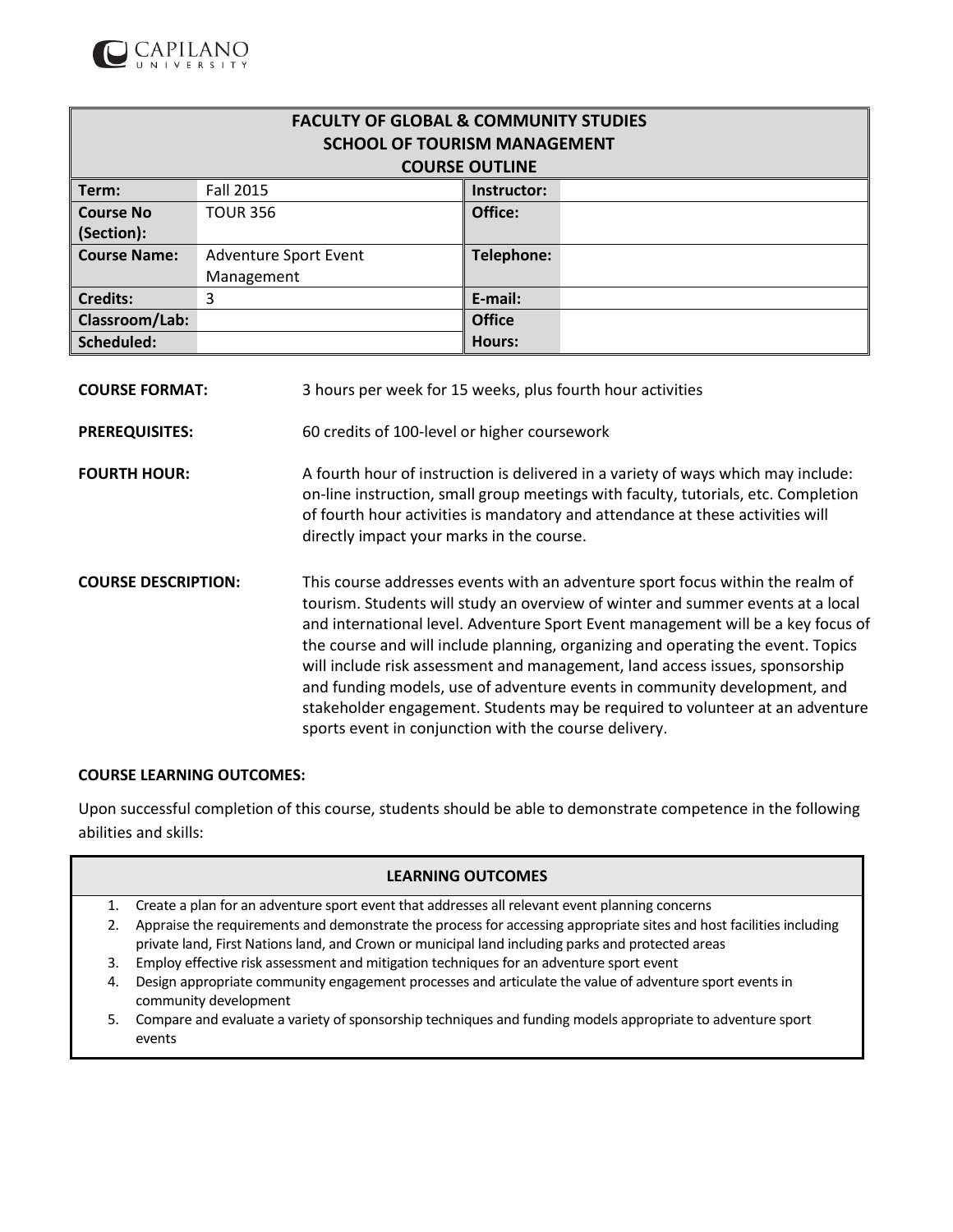

| <b>FACULTY OF GLOBAL &amp; COMMUNITY STUDIES</b> |                                     |                   |  |  |  |
|--------------------------------------------------|-------------------------------------|-------------------|--|--|--|
|                                                  | <b>SCHOOL OF TOURISM MANAGEMENT</b> |                   |  |  |  |
|                                                  | <b>COURSE OUTLINE</b>               |                   |  |  |  |
| Term:                                            | Fall 2015                           | Instructor:       |  |  |  |
| <b>Course No</b>                                 | <b>TOUR 356</b>                     | Office:           |  |  |  |
| (Section):                                       |                                     |                   |  |  |  |
| <b>Course Name:</b>                              | <b>Adventure Sport Event</b>        | <b>Telephone:</b> |  |  |  |
|                                                  | Management                          |                   |  |  |  |
| <b>Credits:</b>                                  | 3                                   | E-mail:           |  |  |  |
| Classroom/Lab:                                   |                                     | <b>Office</b>     |  |  |  |
| Scheduled:                                       |                                     | <b>Hours:</b>     |  |  |  |

**COURSE FORMAT:** 3 hours per week for 15 weeks, plus fourth hour activities

**PREREQUISITES:** 60 credits of 100-level or higher coursework

- **FOURTH HOUR:** A fourth hour of instruction is delivered in a variety of ways which may include: on-line instruction, small group meetings with faculty, tutorials, etc. Completion of fourth hour activities is mandatory and attendance at these activities will directly impact your marks in the course.
- **COURSE DESCRIPTION:** This course addresses events with an adventure sport focus within the realm of tourism. Students will study an overview of winter and summer events at a local and international level. Adventure Sport Event management will be a key focus of the course and will include planning, organizing and operating the event. Topics will include risk assessment and management, land access issues, sponsorship and funding models, use of adventure events in community development, and stakeholder engagement. Students may be required to volunteer at an adventure sports event in conjunction with the course delivery.

### **COURSE LEARNING OUTCOMES:**

Upon successful completion of this course, students should be able to demonstrate competence in the following abilities and skills:

### **LEARNING OUTCOMES**

- 1. Create a plan for an adventure sport event that addresses all relevant event planning concerns
- 2. Appraise the requirements and demonstrate the process for accessing appropriate sites and host facilities including private land, First Nations land, and Crown or municipal land including parks and protected areas
- 3. Employ effective risk assessment and mitigation techniques for an adventure sport event
- 4. Design appropriate community engagement processes and articulate the value of adventure sport events in community development
- 5. Compare and evaluate a variety of sponsorship techniques and funding models appropriate to adventure sport events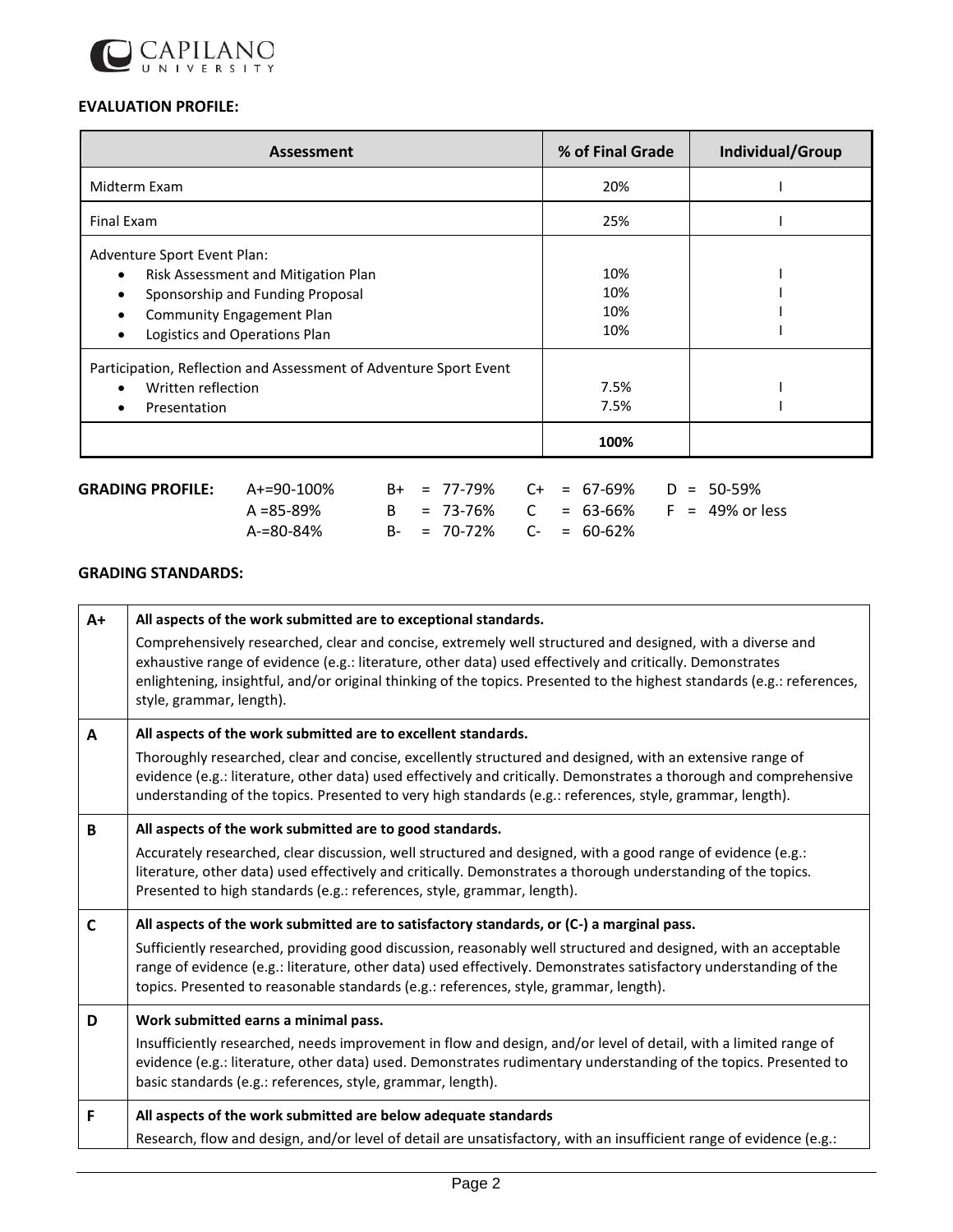

# **EVALUATION PROFILE:**

| <b>Assessment</b>                                                                                                                                                                        | % of Final Grade         | Individual/Group |  |  |
|------------------------------------------------------------------------------------------------------------------------------------------------------------------------------------------|--------------------------|------------------|--|--|
| Midterm Exam                                                                                                                                                                             | 20%                      |                  |  |  |
| <b>Final Exam</b>                                                                                                                                                                        | 25%                      |                  |  |  |
| Adventure Sport Event Plan:<br>Risk Assessment and Mitigation Plan<br>$\bullet$<br>Sponsorship and Funding Proposal<br><b>Community Engagement Plan</b><br>Logistics and Operations Plan | 10%<br>10%<br>10%<br>10% |                  |  |  |
| Participation, Reflection and Assessment of Adventure Sport Event<br>Written reflection<br>Presentation                                                                                  | 7.5%<br>7.5%             |                  |  |  |
|                                                                                                                                                                                          | 100%                     |                  |  |  |

| $\,$ GRADING PROFILE: $\,$ A+=90-100% $\,$ |           |  | $B+$ = 77-79% $C+$ = 67-69% $D = 50-59%$ |  |  |                                       |
|--------------------------------------------|-----------|--|------------------------------------------|--|--|---------------------------------------|
|                                            | A =85-89% |  |                                          |  |  | B = 73-76% C = 63-66% F = 49% or less |
|                                            | A-=80-84% |  | $B- = 70-72\%$ C- = 60-62%               |  |  |                                       |

## **GRADING STANDARDS:**

| $A+$ | All aspects of the work submitted are to exceptional standards.                                                                                                                                                                                                                                                                                                               |
|------|-------------------------------------------------------------------------------------------------------------------------------------------------------------------------------------------------------------------------------------------------------------------------------------------------------------------------------------------------------------------------------|
|      | Comprehensively researched, clear and concise, extremely well structured and designed, with a diverse and<br>exhaustive range of evidence (e.g.: literature, other data) used effectively and critically. Demonstrates<br>enlightening, insightful, and/or original thinking of the topics. Presented to the highest standards (e.g.: references,<br>style, grammar, length). |
| A    | All aspects of the work submitted are to excellent standards.                                                                                                                                                                                                                                                                                                                 |
|      | Thoroughly researched, clear and concise, excellently structured and designed, with an extensive range of<br>evidence (e.g.: literature, other data) used effectively and critically. Demonstrates a thorough and comprehensive<br>understanding of the topics. Presented to very high standards (e.g.: references, style, grammar, length).                                  |
| B    | All aspects of the work submitted are to good standards.                                                                                                                                                                                                                                                                                                                      |
|      | Accurately researched, clear discussion, well structured and designed, with a good range of evidence (e.g.:<br>literature, other data) used effectively and critically. Demonstrates a thorough understanding of the topics.<br>Presented to high standards (e.g.: references, style, grammar, length).                                                                       |
| C    | All aspects of the work submitted are to satisfactory standards, or (C-) a marginal pass.                                                                                                                                                                                                                                                                                     |
|      | Sufficiently researched, providing good discussion, reasonably well structured and designed, with an acceptable<br>range of evidence (e.g.: literature, other data) used effectively. Demonstrates satisfactory understanding of the<br>topics. Presented to reasonable standards (e.g.: references, style, grammar, length).                                                 |
| D    | Work submitted earns a minimal pass.                                                                                                                                                                                                                                                                                                                                          |
|      | Insufficiently researched, needs improvement in flow and design, and/or level of detail, with a limited range of<br>evidence (e.g.: literature, other data) used. Demonstrates rudimentary understanding of the topics. Presented to<br>basic standards (e.g.: references, style, grammar, length).                                                                           |
| F    | All aspects of the work submitted are below adequate standards                                                                                                                                                                                                                                                                                                                |
|      | Research, flow and design, and/or level of detail are unsatisfactory, with an insufficient range of evidence (e.g.:                                                                                                                                                                                                                                                           |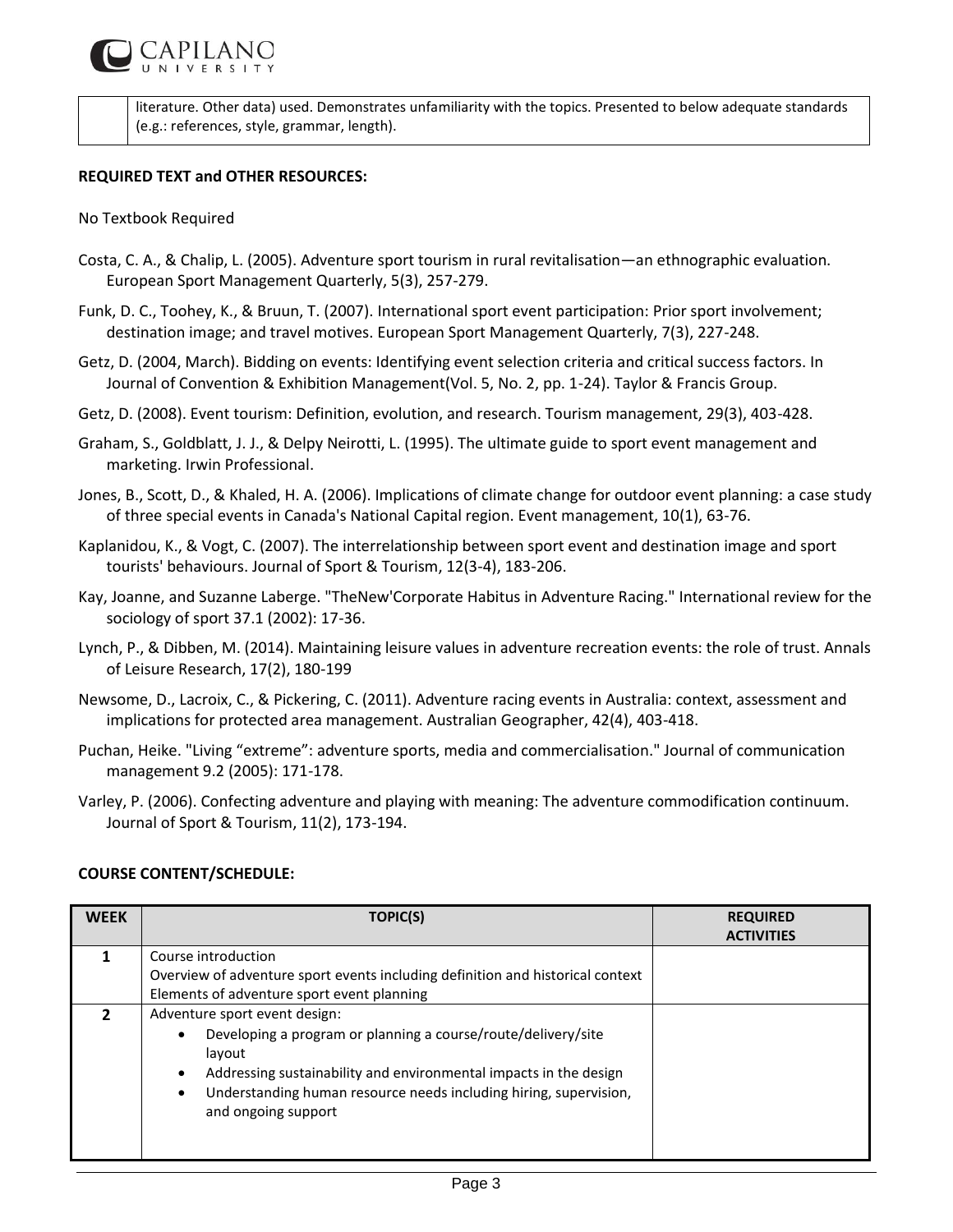

literature. Other data) used. Demonstrates unfamiliarity with the topics. Presented to below adequate standards (e.g.: references, style, grammar, length).

### **REQUIRED TEXT and OTHER RESOURCES:**

### No Textbook Required

- Costa, C. A., & Chalip, L. (2005). Adventure sport tourism in rural revitalisation—an ethnographic evaluation. European Sport Management Quarterly, 5(3), 257-279.
- Funk, D. C., Toohey, K., & Bruun, T. (2007). International sport event participation: Prior sport involvement; destination image; and travel motives. European Sport Management Quarterly, 7(3), 227-248.
- Getz, D. (2004, March). Bidding on events: Identifying event selection criteria and critical success factors. In Journal of Convention & Exhibition Management(Vol. 5, No. 2, pp. 1-24). Taylor & Francis Group.
- Getz, D. (2008). Event tourism: Definition, evolution, and research. Tourism management, 29(3), 403-428.
- Graham, S., Goldblatt, J. J., & Delpy Neirotti, L. (1995). The ultimate guide to sport event management and marketing. Irwin Professional.
- Jones, B., Scott, D., & Khaled, H. A. (2006). Implications of climate change for outdoor event planning: a case study of three special events in Canada's National Capital region. Event management, 10(1), 63-76.
- Kaplanidou, K., & Vogt, C. (2007). The interrelationship between sport event and destination image and sport tourists' behaviours. Journal of Sport & Tourism, 12(3-4), 183-206.
- Kay, Joanne, and Suzanne Laberge. "TheNew'Corporate Habitus in Adventure Racing." International review for the sociology of sport 37.1 (2002): 17-36.
- Lynch, P., & Dibben, M. (2014). Maintaining leisure values in adventure recreation events: the role of trust. Annals of Leisure Research, 17(2), 180-199
- Newsome, D., Lacroix, C., & Pickering, C. (2011). Adventure racing events in Australia: context, assessment and implications for protected area management. Australian Geographer, 42(4), 403-418.
- Puchan, Heike. "Living "extreme": adventure sports, media and commercialisation." Journal of communication management 9.2 (2005): 171-178.
- Varley, P. (2006). Confecting adventure and playing with meaning: The adventure commodification continuum. Journal of Sport & Tourism, 11(2), 173-194.

### **COURSE CONTENT/SCHEDULE:**

| <b>WEEK</b> | TOPIC(S)                                                                                                                                                                                                                                                                | <b>REQUIRED</b><br><b>ACTIVITIES</b> |  |  |  |
|-------------|-------------------------------------------------------------------------------------------------------------------------------------------------------------------------------------------------------------------------------------------------------------------------|--------------------------------------|--|--|--|
|             | Course introduction                                                                                                                                                                                                                                                     |                                      |  |  |  |
|             | Overview of adventure sport events including definition and historical context                                                                                                                                                                                          |                                      |  |  |  |
|             | Elements of adventure sport event planning                                                                                                                                                                                                                              |                                      |  |  |  |
|             | Adventure sport event design:                                                                                                                                                                                                                                           |                                      |  |  |  |
|             | Developing a program or planning a course/route/delivery/site<br>٠<br>layout<br>Addressing sustainability and environmental impacts in the design<br>$\bullet$<br>Understanding human resource needs including hiring, supervision,<br>$\bullet$<br>and ongoing support |                                      |  |  |  |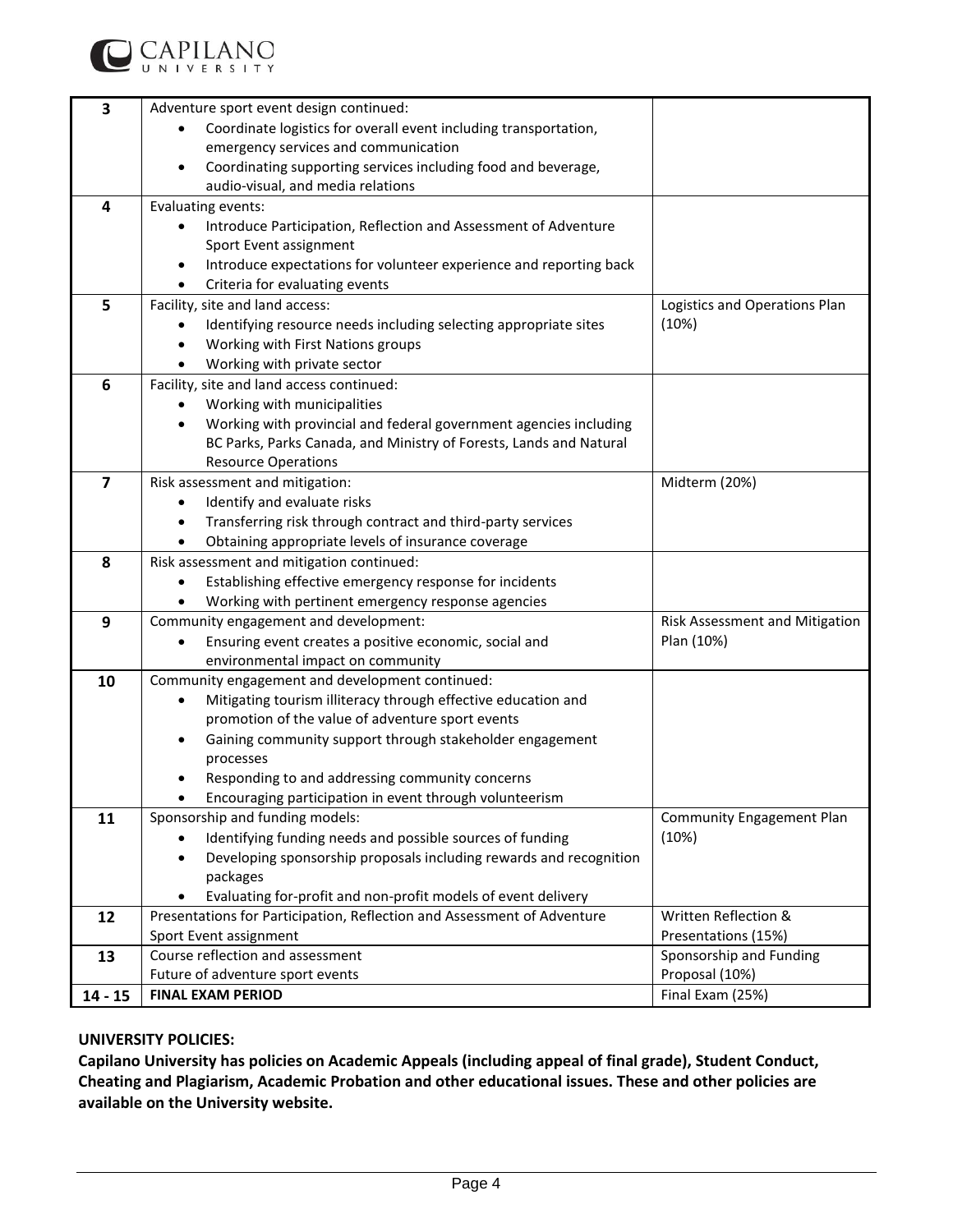

| 3                       | Adventure sport event design continued:                                                                      |                                  |  |
|-------------------------|--------------------------------------------------------------------------------------------------------------|----------------------------------|--|
|                         | Coordinate logistics for overall event including transportation,                                             |                                  |  |
|                         | emergency services and communication                                                                         |                                  |  |
|                         | Coordinating supporting services including food and beverage,<br>٠                                           |                                  |  |
|                         | audio-visual, and media relations                                                                            |                                  |  |
| $\overline{\mathbf{4}}$ | Evaluating events:                                                                                           |                                  |  |
|                         | Introduce Participation, Reflection and Assessment of Adventure<br>$\bullet$                                 |                                  |  |
|                         | Sport Event assignment                                                                                       |                                  |  |
|                         | Introduce expectations for volunteer experience and reporting back                                           |                                  |  |
|                         | Criteria for evaluating events                                                                               |                                  |  |
| 5                       | Facility, site and land access:                                                                              | Logistics and Operations Plan    |  |
|                         | Identifying resource needs including selecting appropriate sites                                             | (10%)                            |  |
|                         | Working with First Nations groups                                                                            |                                  |  |
|                         | Working with private sector<br>$\bullet$                                                                     |                                  |  |
| 6                       | Facility, site and land access continued:                                                                    |                                  |  |
|                         | Working with municipalities                                                                                  |                                  |  |
|                         | Working with provincial and federal government agencies including                                            |                                  |  |
|                         | BC Parks, Parks Canada, and Ministry of Forests, Lands and Natural                                           |                                  |  |
|                         | <b>Resource Operations</b>                                                                                   |                                  |  |
| $\overline{7}$          | Risk assessment and mitigation:                                                                              | Midterm (20%)                    |  |
|                         | Identify and evaluate risks<br>$\bullet$                                                                     |                                  |  |
|                         | Transferring risk through contract and third-party services                                                  |                                  |  |
|                         | Obtaining appropriate levels of insurance coverage<br>$\bullet$                                              |                                  |  |
| 8                       | Risk assessment and mitigation continued:                                                                    |                                  |  |
|                         | Establishing effective emergency response for incidents                                                      |                                  |  |
|                         | Working with pertinent emergency response agencies                                                           |                                  |  |
| 9                       | Community engagement and development:                                                                        | Risk Assessment and Mitigation   |  |
|                         | Ensuring event creates a positive economic, social and<br>$\bullet$                                          | Plan (10%)                       |  |
|                         | environmental impact on community                                                                            |                                  |  |
| 10                      | Community engagement and development continued:                                                              |                                  |  |
|                         | Mitigating tourism illiteracy through effective education and<br>$\bullet$                                   |                                  |  |
|                         | promotion of the value of adventure sport events<br>Gaining community support through stakeholder engagement |                                  |  |
|                         | ٠<br>processes                                                                                               |                                  |  |
|                         | Responding to and addressing community concerns                                                              |                                  |  |
|                         | Encouraging participation in event through volunteerism                                                      |                                  |  |
| 11                      | Sponsorship and funding models:                                                                              | <b>Community Engagement Plan</b> |  |
|                         | Identifying funding needs and possible sources of funding                                                    | (10%)                            |  |
|                         | Developing sponsorship proposals including rewards and recognition<br>$\bullet$                              |                                  |  |
|                         | packages                                                                                                     |                                  |  |
|                         | Evaluating for-profit and non-profit models of event delivery<br>$\bullet$                                   |                                  |  |
| 12                      | Presentations for Participation, Reflection and Assessment of Adventure                                      | Written Reflection &             |  |
|                         | Sport Event assignment                                                                                       | Presentations (15%)              |  |
| 13                      | Course reflection and assessment                                                                             | Sponsorship and Funding          |  |
|                         | Future of adventure sport events<br>Proposal (10%)                                                           |                                  |  |
| $14 - 15$               | <b>FINAL EXAM PERIOD</b>                                                                                     | Final Exam (25%)                 |  |
|                         |                                                                                                              |                                  |  |

## **UNIVERSITY POLICIES:**

**Capilano University has policies on Academic Appeals (including appeal of final grade), Student Conduct, Cheating and Plagiarism, Academic Probation and other educational issues. These and other policies are available on the University website.**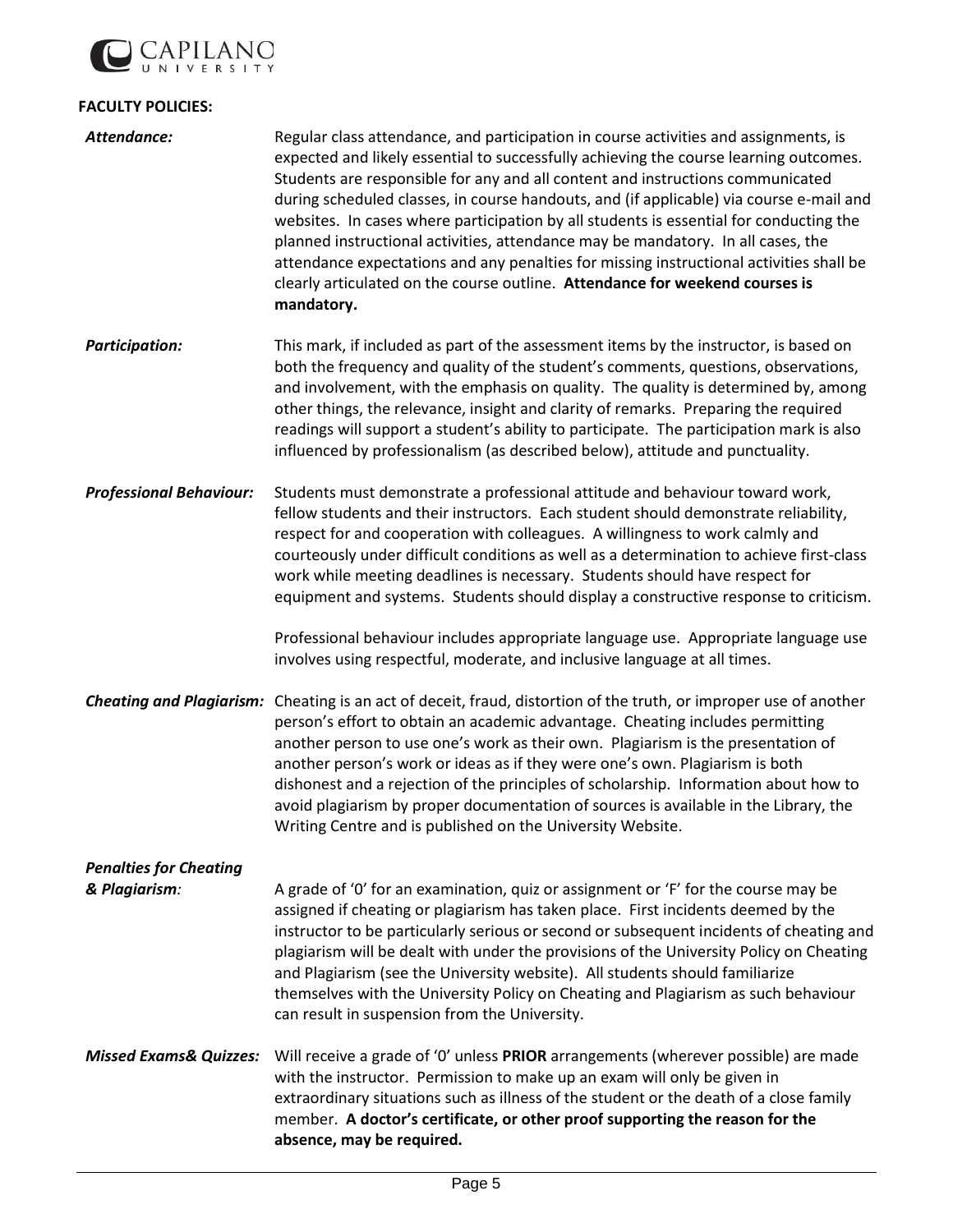

## **FACULTY POLICIES:**

| Attendance:                                    | Regular class attendance, and participation in course activities and assignments, is<br>expected and likely essential to successfully achieving the course learning outcomes.<br>Students are responsible for any and all content and instructions communicated<br>during scheduled classes, in course handouts, and (if applicable) via course e-mail and<br>websites. In cases where participation by all students is essential for conducting the<br>planned instructional activities, attendance may be mandatory. In all cases, the<br>attendance expectations and any penalties for missing instructional activities shall be<br>clearly articulated on the course outline. Attendance for weekend courses is<br>mandatory. |
|------------------------------------------------|-----------------------------------------------------------------------------------------------------------------------------------------------------------------------------------------------------------------------------------------------------------------------------------------------------------------------------------------------------------------------------------------------------------------------------------------------------------------------------------------------------------------------------------------------------------------------------------------------------------------------------------------------------------------------------------------------------------------------------------|
| <b>Participation:</b>                          | This mark, if included as part of the assessment items by the instructor, is based on<br>both the frequency and quality of the student's comments, questions, observations,<br>and involvement, with the emphasis on quality. The quality is determined by, among<br>other things, the relevance, insight and clarity of remarks. Preparing the required<br>readings will support a student's ability to participate. The participation mark is also<br>influenced by professionalism (as described below), attitude and punctuality.                                                                                                                                                                                             |
| <b>Professional Behaviour:</b>                 | Students must demonstrate a professional attitude and behaviour toward work,<br>fellow students and their instructors. Each student should demonstrate reliability,<br>respect for and cooperation with colleagues. A willingness to work calmly and<br>courteously under difficult conditions as well as a determination to achieve first-class<br>work while meeting deadlines is necessary. Students should have respect for<br>equipment and systems. Students should display a constructive response to criticism.<br>Professional behaviour includes appropriate language use. Appropriate language use<br>involves using respectful, moderate, and inclusive language at all times.                                        |
|                                                | Cheating and Plagiarism: Cheating is an act of deceit, fraud, distortion of the truth, or improper use of another<br>person's effort to obtain an academic advantage. Cheating includes permitting<br>another person to use one's work as their own. Plagiarism is the presentation of<br>another person's work or ideas as if they were one's own. Plagiarism is both<br>dishonest and a rejection of the principles of scholarship. Information about how to<br>avoid plagiarism by proper documentation of sources is available in the Library, the<br>Writing Centre and is published on the University Website.                                                                                                              |
| <b>Penalties for Cheating</b><br>& Plagiarism: | A grade of '0' for an examination, quiz or assignment or 'F' for the course may be<br>assigned if cheating or plagiarism has taken place. First incidents deemed by the<br>instructor to be particularly serious or second or subsequent incidents of cheating and<br>plagiarism will be dealt with under the provisions of the University Policy on Cheating<br>and Plagiarism (see the University website). All students should familiarize<br>themselves with the University Policy on Cheating and Plagiarism as such behaviour<br>can result in suspension from the University.                                                                                                                                              |
| <b>Missed Exams&amp; Quizzes:</b>              | Will receive a grade of '0' unless PRIOR arrangements (wherever possible) are made<br>with the instructor. Permission to make up an exam will only be given in<br>extraordinary situations such as illness of the student or the death of a close family<br>member. A doctor's certificate, or other proof supporting the reason for the<br>absence, may be required.                                                                                                                                                                                                                                                                                                                                                             |